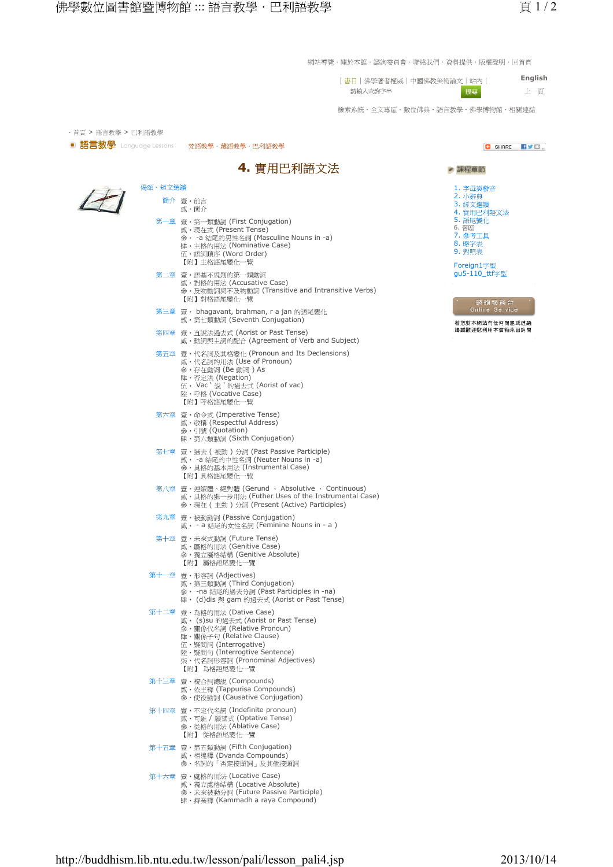網站導覽・關於本館・諮詢委員會・聯絡我們・資料提供・版權聲明・回首頁

**English** | 書日 | 佛學著者權威 | 中國佛教美術論文 | 站内 | 搜尋 上項 請輸入查詢字串

檢索系統・全文專區・數位佛典・語言教學・佛學博物館・相關連結

| ■ 語言教學 Language Lessons | 梵語教學・藏語教學・巴利語教學                                                                                                                                                                                                                             | <b>D</b> SHARE<br>HVØ…                                                                                                                        |
|-------------------------|---------------------------------------------------------------------------------------------------------------------------------------------------------------------------------------------------------------------------------------------|-----------------------------------------------------------------------------------------------------------------------------------------------|
|                         | 4. 實用巴利語文法                                                                                                                                                                                                                                  | ▶ 課程章節                                                                                                                                        |
| 偈頌・短文選讀                 |                                                                                                                                                                                                                                             | 1. 字母與發音                                                                                                                                      |
|                         | 簡介 壹・前言<br>貳・簡介                                                                                                                                                                                                                             | 2. 小辭典<br>3. 經文選讀<br>4. 實用巴利語文法                                                                                                               |
|                         | 第一章 壹・第一類動詞 (First Conjugation)<br>貳·現在式 (Present Tense)<br>參· -a 結尾的男性名詞 (Masculine Nouns in -a)<br>肆·主格的用法 (Nominative Case)<br>伍·語詞順序 (Word Order)<br>【附】主格語尾變化一覽                                                                        | 5. 語尾變化<br>6. 習題<br>7. 参考工具<br>8. 略字表<br>9. 對照表<br>Foreign1字型<br>gu5-110_ttf字型<br>諮詢服務台<br>Online Service<br>若您對本網站有任何問題或建議<br>遏誠歡迎您利用本信箱來函詢問 |
|                         | 第二章 壹・語基不規則的第一類動詞<br>貳·對格的用法 (Accusative Case)<br>參·及物動詞與不及物動詞 (Transitive and Intransitive Verbs)<br>【附】對格語尾變化一覽                                                                                                                           |                                                                                                                                               |
|                         | 第三章 壹 · bhagavant, brahman, r a jan 的語尾變化<br>貳·第七類動詞 (Seventh Conjugation)                                                                                                                                                                  |                                                                                                                                               |
|                         | 第四章 壹・直說法過去式 (Aorist or Past Tense)<br>貳·動詞與主詞的配合 (Agreement of Verb and Subject)                                                                                                                                                           |                                                                                                                                               |
|                         | 第五章 壹·代名詞及其格變化 (Pronoun and Its Declensions)<br>貳·代名詞的川法 (Use of Pronoun)<br>參・存在動詞 (Be 動詞 ) As<br>肆・否定法 (Negation)<br>伍· Vac `說 ' 的過去式 (Aorist of vac)<br>陸・呼格 (Vocative Case)<br>【附】呼格語尾變化一覽                                              |                                                                                                                                               |
|                         | 第六章 壹 · 命令式 (Imperative Tense)<br>貳・敬稱 (Respectful Address)<br>參・引號 (Quotation)<br>肆・第六類動詞 (Sixth Conjugation)                                                                                                                              |                                                                                                                                               |
|                         | 第七章 壹·過去 (被動)分詞 (Past Passive Participle)<br>貳•-a 結尾的中性名詞 (Neuter Nouns in -a)<br>参·具格的基本用法 (Instrumental Case)<br>【附】具格語尾變化一覽                                                                                                              |                                                                                                                                               |
|                         | 第八章 壹·連續體、絕對體 (Gerund 、 Absolutive 、 Continuous)<br>貳· 具格的進一步用法 (Futher Uses of the Instrumental Case)<br>參·現在 ( 主動 ) 分詞 (Present (Active) Participles)                                                                                     |                                                                                                                                               |
|                         | 第九章 壹・被動動詞 (Passive Conjugation)<br>貳 · - a 結尾的女性名詞 (Feminine Nouns in - a)                                                                                                                                                                 |                                                                                                                                               |
|                         | 第十章 壹・未來式動詞 (Future Tense)<br>貳·屬格的用法 (Genitive Case)<br>參·獨立屬格結構 (Genitive Absolute)<br>【附】 屬格語尾變化一覽                                                                                                                                       |                                                                                                                                               |
|                         | 第十一章 壹・形容詞 (Adjectives)<br>貳·第三類動詞 (Third Conjugation)<br>參·- na 結尾的過去分詞 (Past Participles in -na)<br>肆 · (d)dis 與 gam 的過去式 (Aorist or Past Tense)                                                                                          |                                                                                                                                               |
|                         | 第十二章 壹・為格的用法 (Dative Case)<br>貳 • (s)su 的過去式 (Aorist or Past Tense)<br>參·關係代名詞 (Relative Pronoun)<br>肆·關係子句 (Relative Clause)<br>伍·疑問詞 (Interrogative)<br>陸·疑問句 (Interrogtive Sentence)<br>柒·代名詞形容詞 (Pronominal Adjectives)<br>【附】 為格語尾變化一覽 |                                                                                                                                               |
|                         | 第十三章 壹・複合詞總說 (Compounds)<br>貳· 依主釋 (Tappurisa Compounds)<br>參·使役動詞 (Causative Conjugation)                                                                                                                                                  |                                                                                                                                               |
|                         | 第十四章 壹·不定代名詞 (Indefinite pronoun)<br>貳・可能 / 願望式 (Optative Tense)<br>参·從格的川法 (Ablative Case)<br>【附】 從格語尾變化一覽                                                                                                                                 |                                                                                                                                               |
|                         | 第十五章 壹・第五類動詞 (Fifth Conjugation)<br>貳·相違釋 (Dvanda Compounds)<br>参・名詞的「否定接頭詞」及其他接頭詞                                                                                                                                                          |                                                                                                                                               |
|                         | 第十六章 壹・處格的用法 (Locative Case)<br>貳·獨立處格結構 (Locative Absolute)<br>參·未來被動分詞 (Future Passive Participle)<br>肆 · 持業釋 (Kammadh a raya Compound)                                                                                                   |                                                                                                                                               |